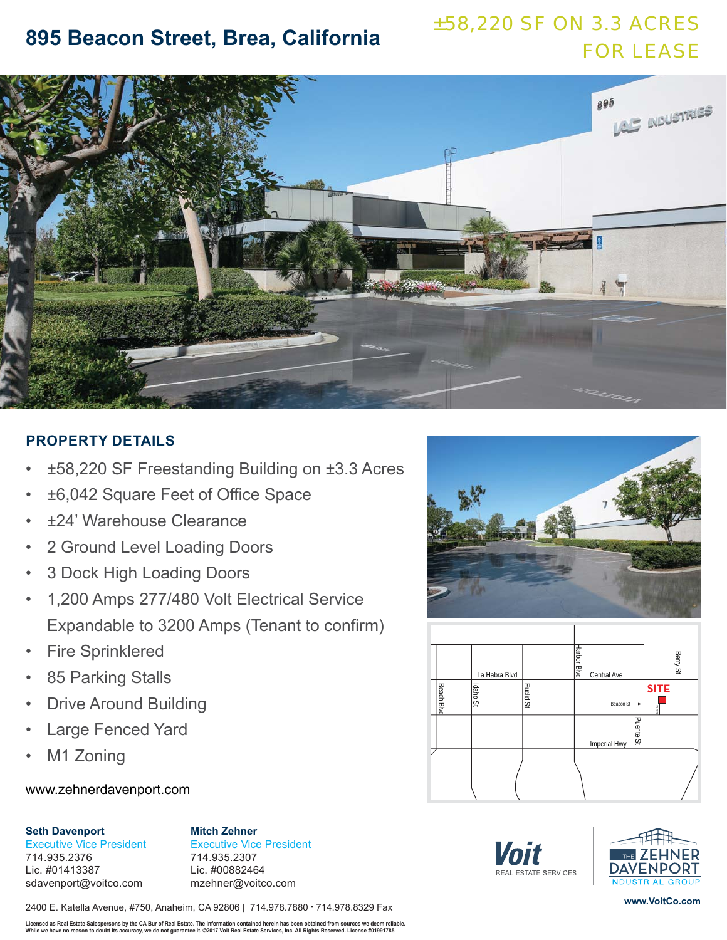# ±58,220 SF ON 3.3 ACRES FOR LEASE **895 Beacon Street, Brea, California**



## **PROPERTY DETAILS**

- ±58,220 SF Freestanding Building on ±3.3 Acres
- ±6,042 Square Feet of Office Space
- ±24' Warehouse Clearance
- 2 Ground Level Loading Doors
- 3 Dock High Loading Doors
- 1,200 Amps 277/480 Volt Electrical Service Expandable to 3200 Amps (Tenant to confirm)
- **Fire Sprinklered**
- 85 Parking Stalls
- **Drive Around Building**
- Large Fenced Yard
- M1 Zoning

## www.zehnerdavenport.com

### **Seth Davenport**

Executive Vice President 714.935.2376 Lic. #01413387 sdavenport@voitco.com

**Mitch Zehner** Executive Vice President 714.935.2307 Lic. #00882464 mzehner@voitco.com

2400 E. Katella Avenue, #750, Anaheim, CA 92806 | 714.978.7880 • 714.978.8329 Fax

Licensed as Real Estate Salespersons by the CA Bur of Real Estate. The information contained herein has been obtained from sources we deem reliable.<br>While we have no reason to doubt its accuracy, we do not guarantee it. ©2









**www.VoitCo.com**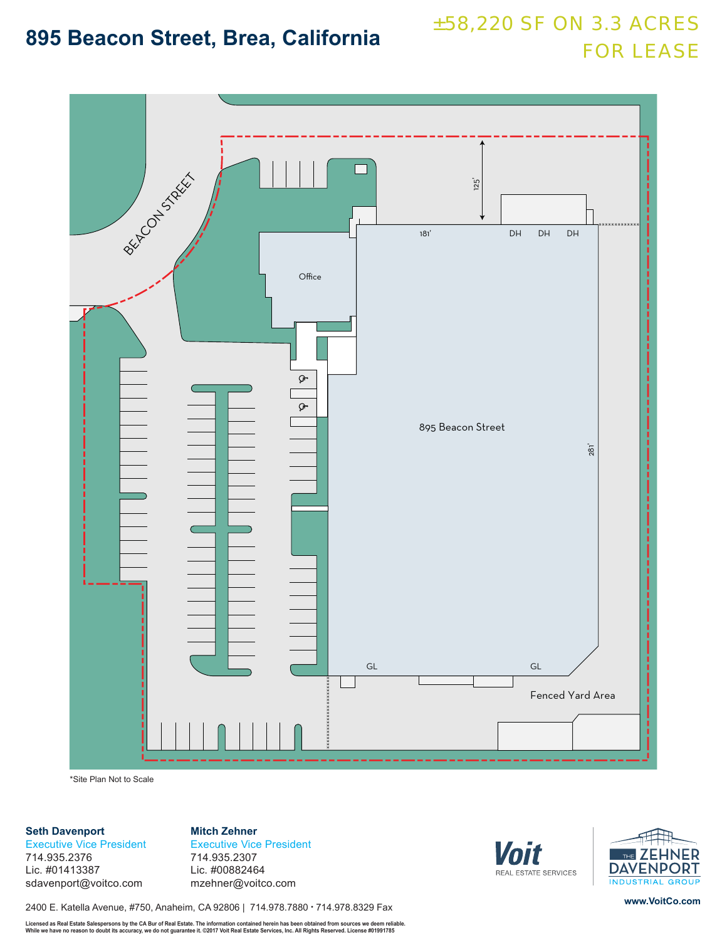# ±58,220 SF ON 3.3 ACRES **895 Beacon Street, Brea, California EXPLESS BEACON STREET ASSE**



\*Site Plan Not to Scale

### **Seth Davenport**

Executive Vice President 714.935.2376 Lic. #01413387 sdavenport@voitco.com

**Mitch Zehner** Executive Vice President 714.935.2307 Lic. #00882464 mzehner@voitco.com

2400 E. Katella Avenue, #750, Anaheim, CA 92806 | 714.978.7880 • 714.978.8329 Fax

Licensed as Real Estate Salespersons by the CA Bur of Real Estate. The information contained herein has been obtained from sources we deem reliable.<br>While we have no reason to doubt its accuracy, we do not guarantee it. ©2





**www.VoitCo.com**